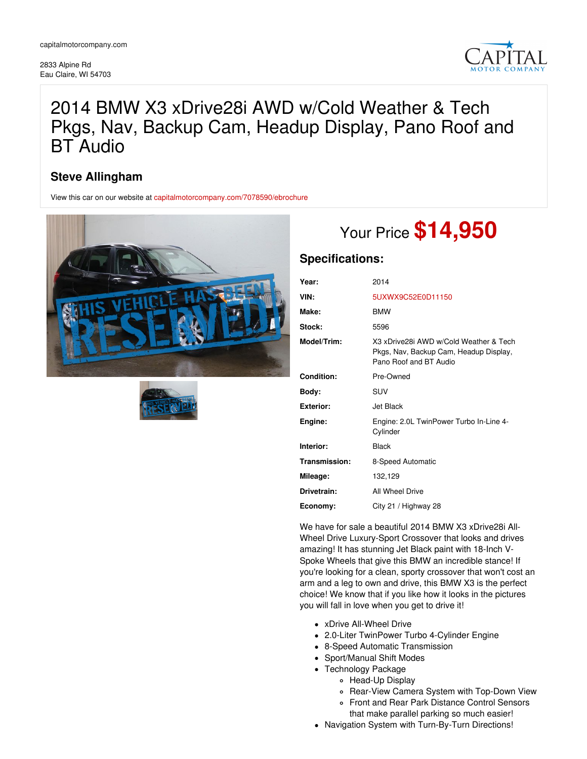2833 Alpine Rd Eau Claire, WI 54703



## 2014 BMW X3 xDrive28i AWD w/Cold Weather & Tech Pkgs, Nav, Backup Cam, Headup Display, Pano Roof and BT Audio

## **Steve Allingham**

View this car on our website at [capitalmotorcompany.com/7078590/ebrochure](https://capitalmotorcompany.com/vehicle/7078590/2014-bmw-x3-xdrive28i-awd-w-cold-weather-tech-pkgs-nav-backup-cam-headup-display-pano-roof-and-bt-audio-eau-claire-wi-54703/7078590/ebrochure)





# Your Price **\$14,950**

## **Specifications:**

| Year:            | 2014                                                                                                       |
|------------------|------------------------------------------------------------------------------------------------------------|
| VIN:             | 5UXWX9C52E0D11150                                                                                          |
| Make:            | <b>BMW</b>                                                                                                 |
| Stock:           | 5596                                                                                                       |
| Model/Trim:      | X3 xDrive28i AWD w/Cold Weather & Tech<br>Pkgs, Nav, Backup Cam, Headup Display,<br>Pano Roof and BT Audio |
| Condition:       | Pre-Owned                                                                                                  |
| Body:            | SUV                                                                                                        |
| <b>Exterior:</b> | Jet Black                                                                                                  |
| Engine:          | Engine: 2.0L TwinPower Turbo In-Line 4-<br>Cylinder                                                        |
| Interior:        | <b>Black</b>                                                                                               |
| Transmission:    | 8-Speed Automatic                                                                                          |
| Mileage:         | 132,129                                                                                                    |
| Drivetrain:      | All Wheel Drive                                                                                            |
| Economy:         | City 21 / Highway 28                                                                                       |

We have for sale a beautiful 2014 BMW X3 xDrive28i All-Wheel Drive Luxury-Sport Crossover that looks and drives amazing! It has stunning Jet Black paint with 18-Inch V-Spoke Wheels that give this BMW an incredible stance! If you're looking for a clean, sporty crossover that won't cost an arm and a leg to own and drive, this BMW X3 is the perfect choice! We know that if you like how it looks in the pictures you will fall in love when you get to drive it!

- xDrive All-Wheel Drive
- 2.0-Liter TwinPower Turbo 4-Cylinder Engine
- 8-Speed Automatic Transmission
- Sport/Manual Shift Modes
- Technology Package
	- o Head-Up Display
	- Rear-View Camera System with Top-Down View
	- Front and Rear Park Distance Control Sensors
	- that make parallel parking so much easier!
- Navigation System with Turn-By-Turn Directions!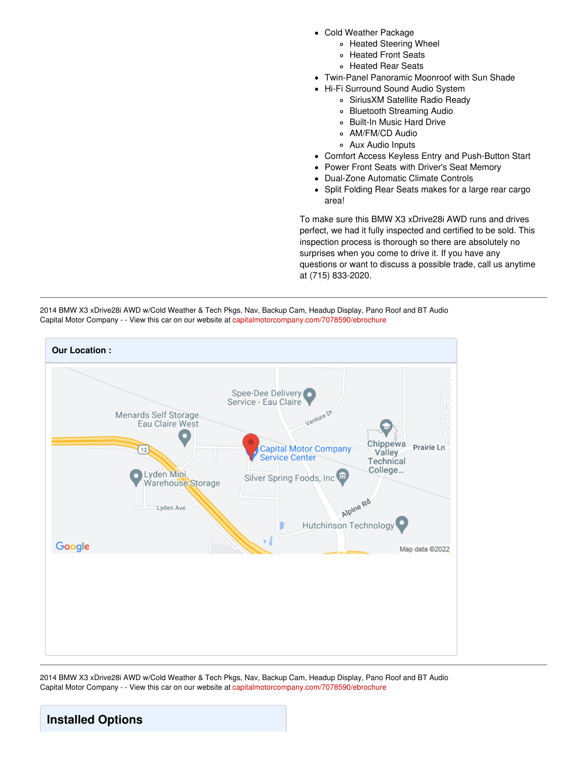- Cold Weather Package
	- Heated Steering Wheel
	- Heated Front Seats
	- Heated Rear Seats
- Twin-Panel Panoramic Moonroof with Sun Shade
- Hi-Fi Surround Sound Audio System
	- SiriusXM Satellite Radio Ready
	- Bluetooth Streaming Audio
	- Built-In Music Hard Drive
	- o AM/FM/CD Audio
	- Aux Audio Inputs
- Comfort Access Keyless Entry and Push-Button Start
- Power Front Seats with Driver's Seat Memory
- Dual-Zone Automatic Climate Controls
- Split Folding Rear Seats makes for a large rear cargo area!

To make sure this BMW X3 xDrive28i AWD runs and drives perfect, we had it fully inspected and certified to be sold. This inspection process is thorough so there are absolutely no surprises when you come to drive it. If you have any questions or want to discuss a possible trade, call us anytime at (715) 833-2020.





2014 BMW X3 xDrive28i AWD w/Cold Weather & Tech Pkgs, Nav, Backup Cam, Headup Display, Pano Roof and BT Audio Capital Motor Company - - View this car on our website at [capitalmotorcompany.com/7078590/ebrochure](https://capitalmotorcompany.com/vehicle/7078590/2014-bmw-x3-xdrive28i-awd-w-cold-weather-tech-pkgs-nav-backup-cam-headup-display-pano-roof-and-bt-audio-eau-claire-wi-54703/7078590/ebrochure)

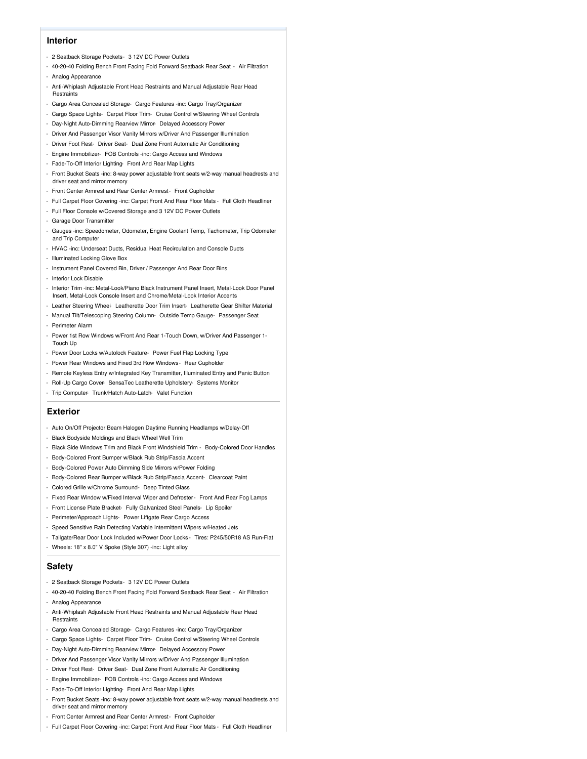#### **Interior**

- 2 Seatback Storage Pockets- 3 12V DC Power Outlets
- 40-20-40 Folding Bench Front Facing Fold Forward Seatback Rear Seat Air Filtration
- Analog Appearance
- Anti-Whiplash Adjustable Front Head Restraints and Manual Adjustable Rear Head **Restraints**
- Cargo Area Concealed Storage- Cargo Features -inc: Cargo Tray/Organizer
- Cargo Space Lights- Carpet Floor Trim- Cruise Control w/Steering Wheel Controls
- Day-Night Auto-Dimming Rearview Mirror- Delayed Accessory Power
- Driver And Passenger Visor Vanity Mirrors w/Driver And Passenger Illumination
- Driver Foot Rest- Driver Seat- Dual Zone Front Automatic Air Conditioning
- Engine Immobilizer- FOB Controls -inc: Cargo Access and Windows
- Fade-To-Off Interior Lighting- Front And Rear Map Lights
- Front Bucket Seats -inc: 8-way power adjustable front seats w/2-way manual headrests and driver seat and mirror memory
- Front Center Armrest and Rear Center Armrest- Front Cupholder
- Full Carpet Floor Covering -inc: Carpet Front And Rear Floor Mats Full Cloth Headliner
- Full Floor Console w/Covered Storage and 3 12V DC Power Outlets
- Garage Door Transmitter
- Gauges -inc: Speedometer, Odometer, Engine Coolant Temp, Tachometer, Trip Odometer and Trip Computer
- HVAC -inc: Underseat Ducts, Residual Heat Recirculation and Console Ducts
- Illuminated Locking Glove Box
- Instrument Panel Covered Bin, Driver / Passenger And Rear Door Bins
- Interior Lock Disable
- Interior Trim -inc: Metal-Look/Piano Black Instrument Panel Insert, Metal-Look Door Panel Insert, Metal-Look Console Insert and Chrome/Metal-Look Interior Accents
- Leather Steering Wheel- Leatherette Door Trim Insert- Leatherette Gear Shifter Material
- Manual Tilt/Telescoping Steering Column- Outside Temp Gauge- Passenger Seat - Perimeter Alarm
- Power 1st Row Windows w/Front And Rear 1-Touch Down, w/Driver And Passenger 1- Touch Up
- Power Door Locks w/Autolock Feature- Power Fuel Flap Locking Type
- Power Rear Windows and Fixed 3rd Row Windows- Rear Cupholder
- Remote Keyless Entry w/Integrated Key Transmitter, Illuminated Entry and Panic Button
- Roll-Up Cargo Cover- SensaTec Leatherette Upholstery- Systems Monitor
- Trip Computer- Trunk/Hatch Auto-Latch- Valet Function

#### **Exterior**

- Auto On/Off Projector Beam Halogen Daytime Running Headlamps w/Delay-Off
- Black Bodyside Moldings and Black Wheel Well Trim
- Black Side Windows Trim and Black Front Windshield Trim Body-Colored Door Handles
- Body-Colored Front Bumper w/Black Rub Strip/Fascia Accent
- Body-Colored Power Auto Dimming Side Mirrors w/Power Folding
- Body-Colored Rear Bumper w/Black Rub Strip/Fascia Accent- Clearcoat Paint
- Colored Grille w/Chrome Surround- Deep Tinted Glass
- Fixed Rear Window w/Fixed Interval Wiper and Defroster- Front And Rear Fog Lamps
- Front License Plate Bracket- Fully Galvanized Steel Panels- Lip Spoiler
- Perimeter/Approach Lights- Power Liftgate Rear Cargo Access
- Speed Sensitive Rain Detecting Variable Intermittent Wipers w/Heated Jets
- Tailgate/Rear Door Lock Included w/Power Door Locks Tires: P245/50R18 AS Run-Flat
- Wheels: 18" x 8.0" V Spoke (Style 307) -inc: Light alloy

#### **Safety**

- 2 Seatback Storage Pockets- 3 12V DC Power Outlets
- 40-20-40 Folding Bench Front Facing Fold Forward Seatback Rear Seat Air Filtration - Analog Appearance
- Anti-Whiplash Adjustable Front Head Restraints and Manual Adjustable Rear Head **Restraints**
- Cargo Area Concealed Storage- Cargo Features -inc: Cargo Tray/Organizer
- Cargo Space Lights- Carpet Floor Trim- Cruise Control w/Steering Wheel Controls
- Day-Night Auto-Dimming Rearview Mirror- Delayed Accessory Power
- Driver And Passenger Visor Vanity Mirrors w/Driver And Passenger Illumination
- Driver Foot Rest- Driver Seat- Dual Zone Front Automatic Air Conditioning
- Engine Immobilizer- FOB Controls -inc: Cargo Access and Windows
- Fade-To-Off Interior Lighting- Front And Rear Map Lights
- Front Bucket Seats -inc: 8-way power adjustable front seats w/2-way manual headrests and driver seat and mirror memory
- Front Center Armrest and Rear Center Armrest- Front Cupholder
- Full Carpet Floor Covering -inc: Carpet Front And Rear Floor Mats Full Cloth Headliner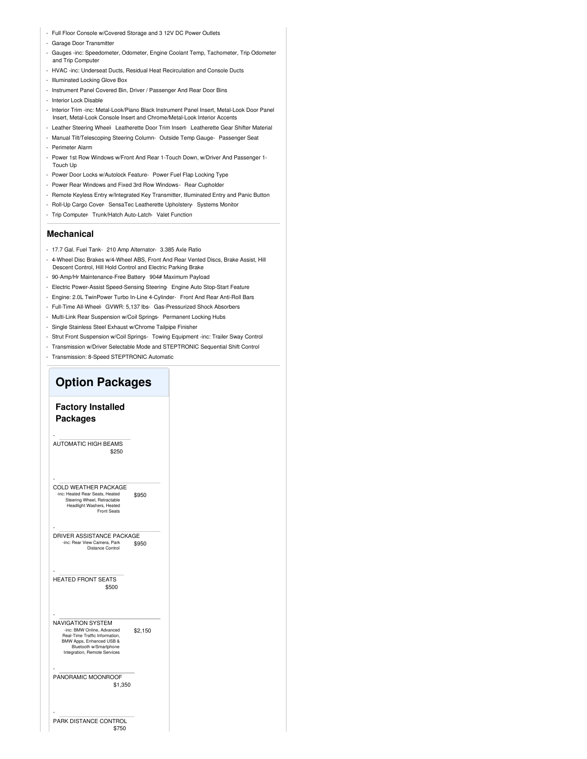- Full Floor Console w/Covered Storage and 3 12V DC Power Outlets
- Garage Door Transmitter
- Gauges -inc: Speedometer, Odometer, Engine Coolant Temp, Tachometer, Trip Odometer and Trip Computer
- HVAC -inc: Underseat Ducts, Residual Heat Recirculation and Console Ducts
- Illuminated Locking Glove Box
- Instrument Panel Covered Bin, Driver / Passenger And Rear Door Bins
- Interior Lock Disable
- Interior Trim -inc: Metal-Look/Piano Black Instrument Panel Insert, Metal-Look Door Panel Insert, Metal-Look Console Insert and Chrome/Metal-Look Interior Accents
- Leather Steering Wheel- Leatherette Door Trim Insert- Leatherette Gear Shifter Material
- Manual Tilt/Telescoping Steering Column- Outside Temp Gauge- Passenger Seat
- Perimeter Alarm
- Power 1st Row Windows w/Front And Rear 1-Touch Down, w/Driver And Passenger 1- Touch Up
- Power Door Locks w/Autolock Feature- Power Fuel Flap Locking Type
- Power Rear Windows and Fixed 3rd Row Windows- Rear Cupholder
- Remote Keyless Entry w/Integrated Key Transmitter, Illuminated Entry and Panic Button
- Roll-Up Cargo Cover- SensaTec Leatherette Upholstery- Systems Monitor
- Trip Computer- Trunk/Hatch Auto-Latch- Valet Function

#### **Mechanical**

- 17.7 Gal. Fuel Tank- 210 Amp Alternator- 3.385 Axle Ratio
- 4-Wheel Disc Brakes w/4-Wheel ABS, Front And Rear Vented Discs, Brake Assist, Hill Descent Control, Hill Hold Control and Electric Parking Brake
- 90-Amp/Hr Maintenance-Free Battery- 904# Maximum Payload
- Electric Power-Assist Speed-Sensing Steering- Engine Auto Stop-Start Feature
- Engine: 2.0L TwinPower Turbo In-Line 4-Cylinder- Front And Rear Anti-Roll Bars
- Full-Time All-Wheel- GVWR: 5,137 lbs- Gas-Pressurized Shock Absorbers
- Multi-Link Rear Suspension w/Coil Springs- Permanent Locking Hubs
- Single Stainless Steel Exhaust w/Chrome Tailpipe Finisher
- Strut Front Suspension w/Coil Springs- Towing Equipment -inc: Trailer Sway Control
- Transmission w/Driver Selectable Mode and STEPTRONIC Sequential Shift Control
- 

### - Transmission: 8-Speed STEPTRONIC Automatic **Option Packages Factory Installed Packages** \$250 - AUTOMATIC HIGH BEAMS \$950 - COLD WEATHER PACKAGE -inc: Heated Rear Seats, Heated Steering Wheel, Retractable Headlight Washers, Heated hers, Heated<br>Front Seats \$950 - DRIVER ASSISTANCE PACKAGE -inc: Rear View Camera, Park Distance Control \$500 - HEATED FRONT SEATS \$2,150 - NAVIGATION SYSTEM -inc: BMW Online, Advanced Real-Time Traffic Information, BMW Apps, Enhanced USB & Bluetooth w/Smartphone Integration, Remote Services \$1,350 - PANORAMIC MOONROOF \$750 - PARK DISTANCE CONTROL